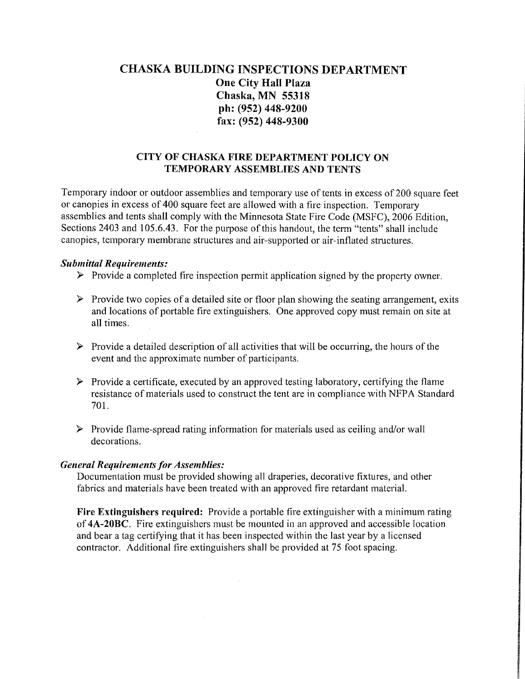# CHASKA BUILDING INSPECTIONS DEPARTMENT One City Hall Plaza Chaska, MN 55318 ph: (952) 448-9200 fax: (952) 448-9300

## CITY OF CHASKA FIRE DEPARTMENT POLICY ON TEMPORARY ASSEMBLIES AND TENTS

Temporary indoor or outdoor assemblies and temporary use of tents in excess of 200 square feet or canopies in excess of 400 square feet are allowed with a fire inspection. Temporary assemblies and tents shall comply with the Minnesota State Fire Code (MSFC), 2006 Edition, Sections 2403 and 105.6.43. For the purpose of this handout, the term "tents" shall include canopies, temporary membrane structures and air-supported or air-inflated structures.

#### *Submittal Requirements:*

- *);>* Provide a completed fire inspection permit application signed by the property owner.
- > Provide two copies of a detailed site or floor plan showing the seating arrangement, exits and locations of portable fire extinguishers. One approved copy must remain on site at all times.
- *);>* Provide a detailed description of all activities that will be occurring, the hours of the event and the approximate number of participants.
- *);>* Provide a certificate, executed by an approved testing laboratory, certifying the flame resistance of materials used to construct the tent are in compliance with NFPA Standard 701.
- > Provide flame-spread rating information for materials used as ceiling and/or wall decorations.

## *General Requirements for Assemblies:*

Documentation must be provided showing all draperies, decorative fixtures, and other fabrics and materials have been treated with an approved fire retardant materia1.

Fire Extinguishers required: Provide a portable fire extinguisher with a minimum rating of 4A-20BC. Fire extinguishers must be mounted in an approved and accessible location and bear a tag certifying that it has been inspected within the last year by a licensed contractor. Additional fire extinguishers shall be provided at 75 foot spacing.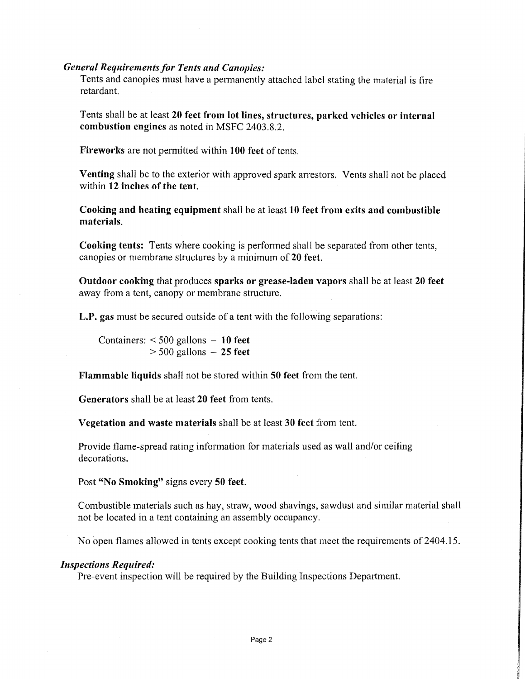## *General Requirements for Tents and Canopies:*

Tents and canopies must have a permanently attached label stating the material is fire retardant.

Tents shall be at least **20 feet from lot lines, structures, parked vehicles or internal combustion engines** as noted in MSFC 2403.8.2.

**Fireworks** are not permitted within **100 feet** of tents.

Venting shall be to the exterior with approved spark arrestors. Vents shall not be placed within 12 inches of the tent.

**Cooking and heating equipment** shall be at least **10 feet from exits and combustible materials.** 

**Cooking tents:** Tents where cooking is performed shall be separated from other tents, canopies or membrane structures by a minimum of **20 feet.** 

**Outdoor cooking** that produces **sparks or grease-laden vapors** shall be at least **20 feet**  away from a tent, canopy or membrane structure.

**L.P. gas** must be secured outside of a tent with the following separations:

Containers: < 500 gallons - **10 feet**   $>$  500 gallons  $-$  25 feet

**Flammable liquids** shall not be stored within **50 feet** from the tent.

**Generators** shall be at least **20 feet** from tents.

**Vegetation and waste materials** shall be at least **30 feet** from tent.

Provide flame-spread rating information for materials used as wall and/or ceiling decorations.

Post **"No Smoking"** signs every **50 feet.** 

Combustible materials such as hay, straw, wood shavings, sawdust and similar material shall not be located in a tent containing an assembly occupancy.

No open flames allowed in tents except cooking tents that meet the requirements of 2404.15.

## *Inspections Required:*

Pre-event inspection will be required by the Building Inspections Department.